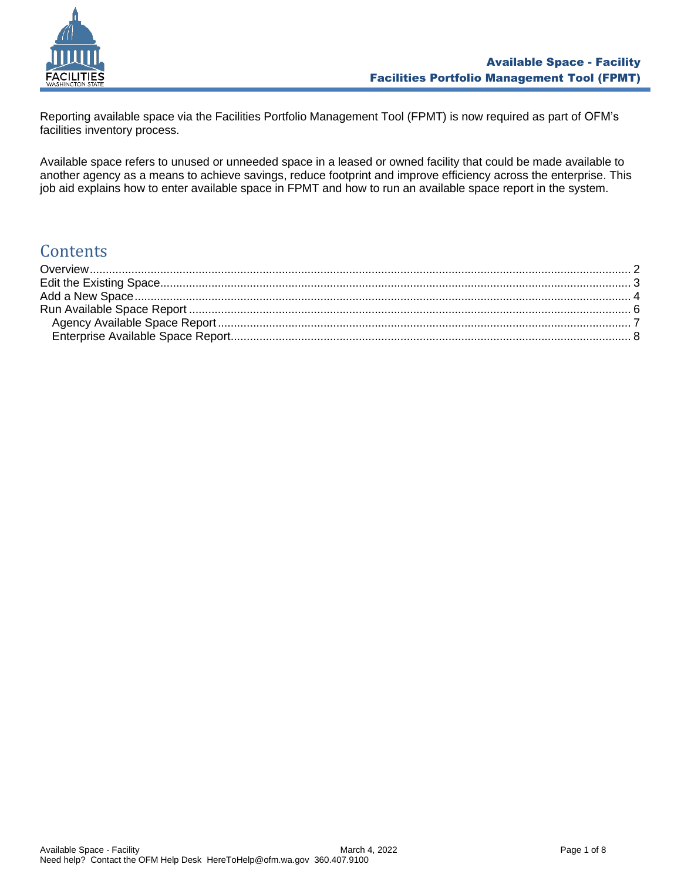

Reporting available space via the Facilities Portfolio Management Tool (FPMT) is now required as part of OFM's facilities inventory process.

Available space refers to unused or unneeded space in a leased or owned facility that could be made available to another agency as a means to achieve savings, reduce footprint and improve efficiency across the enterprise. This job aid explains how to enter available space in FPMT and how to run an available space report in the system.

# **Contents**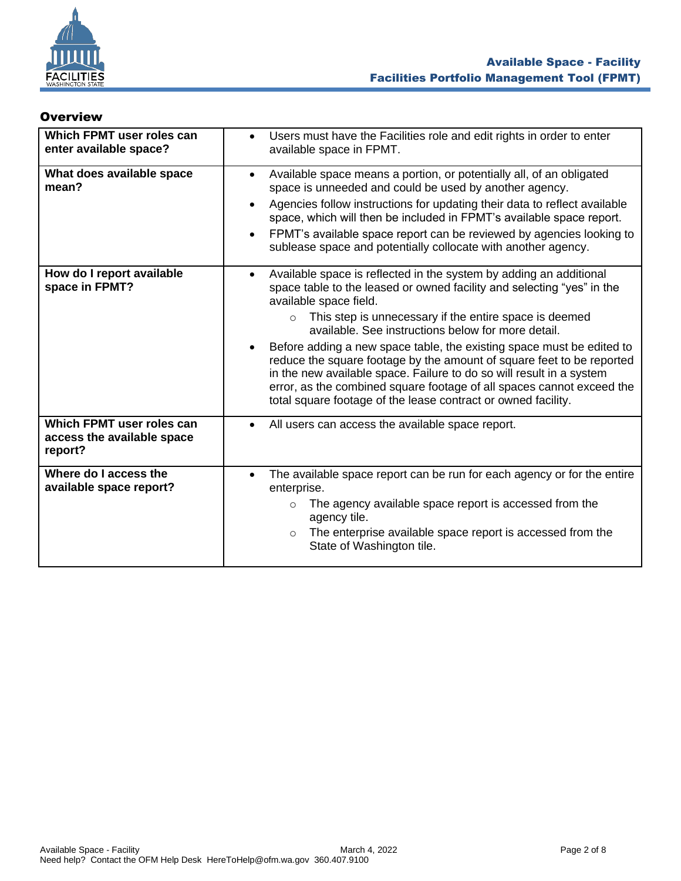

#### <span id="page-1-0"></span>**Overview**

| Which FPMT user roles can<br>enter available space?                | Users must have the Facilities role and edit rights in order to enter<br>$\bullet$<br>available space in FPMT.                                                                                                                                                                                                                                                                                                                                                                                                                                                                                                                                                                                  |
|--------------------------------------------------------------------|-------------------------------------------------------------------------------------------------------------------------------------------------------------------------------------------------------------------------------------------------------------------------------------------------------------------------------------------------------------------------------------------------------------------------------------------------------------------------------------------------------------------------------------------------------------------------------------------------------------------------------------------------------------------------------------------------|
| What does available space<br>mean?                                 | Available space means a portion, or potentially all, of an obligated<br>$\bullet$<br>space is unneeded and could be used by another agency.<br>Agencies follow instructions for updating their data to reflect available<br>$\bullet$<br>space, which will then be included in FPMT's available space report.<br>FPMT's available space report can be reviewed by agencies looking to<br>$\bullet$<br>sublease space and potentially collocate with another agency.                                                                                                                                                                                                                             |
| How do I report available<br>space in FPMT?                        | Available space is reflected in the system by adding an additional<br>$\bullet$<br>space table to the leased or owned facility and selecting "yes" in the<br>available space field.<br>This step is unnecessary if the entire space is deemed<br>$\circ$<br>available. See instructions below for more detail.<br>Before adding a new space table, the existing space must be edited to<br>$\bullet$<br>reduce the square footage by the amount of square feet to be reported<br>in the new available space. Failure to do so will result in a system<br>error, as the combined square footage of all spaces cannot exceed the<br>total square footage of the lease contract or owned facility. |
| Which FPMT user roles can<br>access the available space<br>report? | All users can access the available space report.<br>$\bullet$                                                                                                                                                                                                                                                                                                                                                                                                                                                                                                                                                                                                                                   |
| Where do I access the<br>available space report?                   | The available space report can be run for each agency or for the entire<br>$\bullet$<br>enterprise.<br>The agency available space report is accessed from the<br>$\circ$<br>agency tile.<br>The enterprise available space report is accessed from the<br>$\circ$<br>State of Washington tile.                                                                                                                                                                                                                                                                                                                                                                                                  |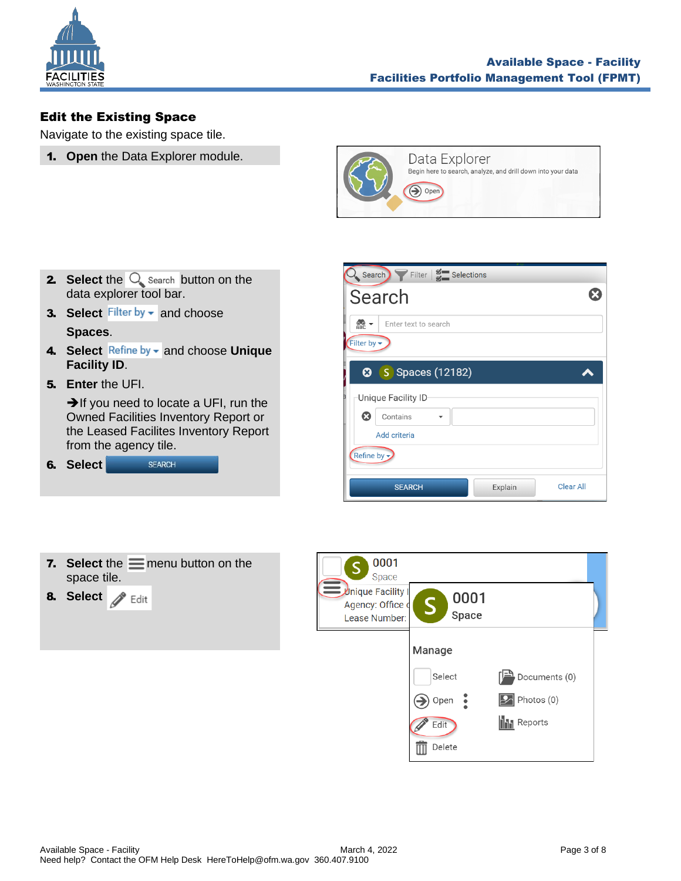

# <span id="page-2-0"></span>Edit the Existing Space

Navigate to the existing space tile.

1. **Open** the Data Explorer module.



- **2.** Select the  $\bigcirc$  search button on the data explorer tool bar.
- **3. Select** Filter by  $\bullet$  and choose **Spaces**.
- 4. Select Refine by  $\bullet$  and choose Unique **Facility ID**.
- 5. **Enter** the UFI.

➔If you need to locate a UFI, run the Owned Facilities Inventory Report or the Leased Facilites Inventory Report from the agency tile.

| 6. Select | <b>SFARCH</b> |
|-----------|---------------|
|           |               |

| Search Filter   Selections                                                   |                  |
|------------------------------------------------------------------------------|------------------|
| Search                                                                       |                  |
| $rac{1}{\triangle$<br>Enter text to search<br>Filter by $\blacktriangledown$ |                  |
| <b>3</b> Spaces (12182)                                                      |                  |
| Unique Facility ID                                                           |                  |
| ශ<br>Contains                                                                |                  |
| Add criteria                                                                 |                  |
| Refine by -                                                                  |                  |
| <b>SEARCH</b><br>Explain                                                     | <b>Clear All</b> |

|             | 7. Select the $\equiv$ menu button on the |
|-------------|-------------------------------------------|
| space tile. |                                           |
|             |                                           |

8. Select **8** Edit

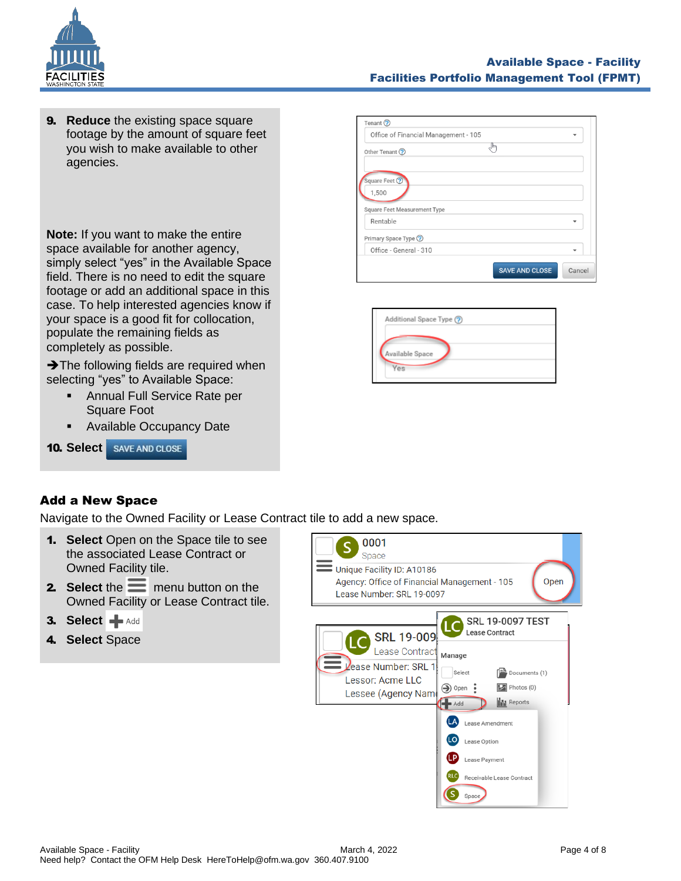

**9. Reduce** the existing space square footage by the amount of square feet you wish to make available to other agencies.

**Note:** If you want to make the entire space available for another agency, simply select "yes" in the Available Space field. There is no need to edit the square footage or add an additional space in this case. To help interested agencies know if your space is a good fit for collocation, populate the remaining fields as completely as possible.

**→ The following fields are required when** selecting "yes" to Available Space:

- **EXEC** Annual Full Service Rate per Square Foot
- Available Occupancy Date

#### Tenant  $\odot$ Office of Financial Management - 105  $\overline{\phantom{a}}$ ჟ Other Tenant ? Square Feet C 1,500 Square Feet Measurement Type Rentable  $\overline{\phantom{a}}$ Primary Space Type ? Office - General - 310 SAVE AND CLOSE Cancel

| Additional Space Type (?) |  |
|---------------------------|--|
| Available Space           |  |
| Ves                       |  |

# <span id="page-3-0"></span>Add a New Space

Navigate to the Owned Facility or Lease Contract tile to add a new space.

- 1. **Select** Open on the Space tile to see the associated Lease Contract or Owned Facility tile.
- **2.** Select the  $\equiv$  menu button on the Owned Facility or Lease Contract tile.
- 3. Select **+** Add
- 4. **Select** Space

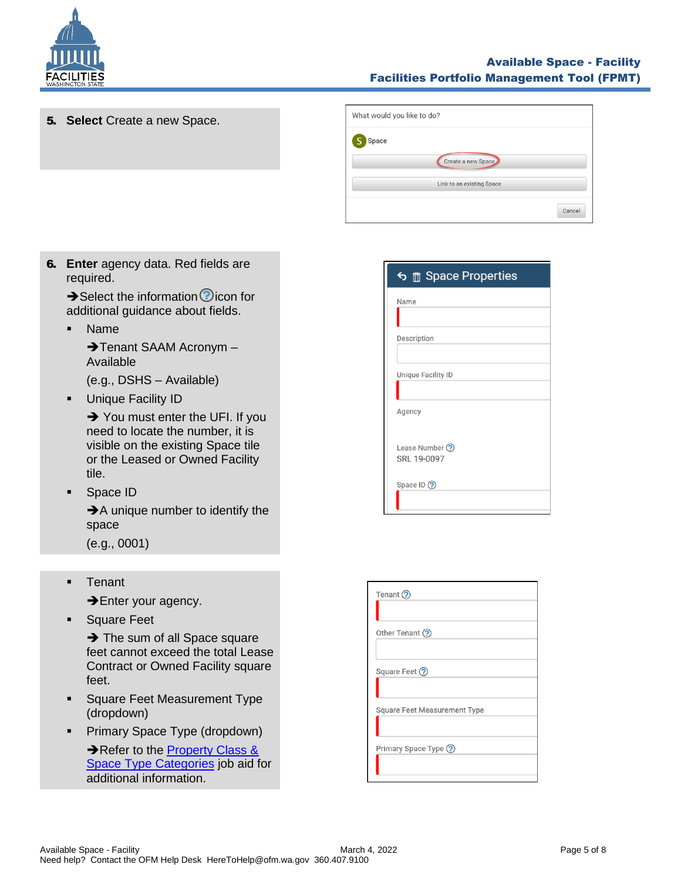

### Available Space - Facility Facilities Portfolio Management Tool (FPMT)

Cancel

- What would you like to do? 5. **Select** Create a new Space. S Space Create a new Space Link to an existing Space
- 6. **Enter** agency data. Red fields are required.

 $\rightarrow$  Select the information  $\odot$  icon for additional guidance about fields.

▪ Name

**→ Tenant SAAM Acronym –** Available

(e.g., DSHS – Available)

**•** Unique Facility ID

**→** You must enter the UFI. If you need to locate the number, it is visible on the existing Space tile or the Leased or Owned Facility tile.

Space ID

**→**A unique number to identify the space

(e.g., 0001)

▪ Tenant

**→Enter your agency.** 

**Exercise Square Feet** 

**→** The sum of all Space square feet cannot exceed the total Lease Contract or Owned Facility square feet.

- **Example 3** Square Feet Measurement Type (dropdown)
- **•** Primary Space Type (dropdown)

→ Refer to the **Property Class &** [Space Type Categories](https://ofm.wa.gov/sites/default/files/public/itsystems/FPMT/Property%20Class%20and%20Space%20Type%20Overview.pdf) job aid for additional information.

|                    | <br><del>f</del> Space Properties |  |
|--------------------|-----------------------------------|--|
| Name               |                                   |  |
| Description        |                                   |  |
| Unique Facility ID |                                   |  |
| Agency             |                                   |  |
| Lease Number ?     | SRL 19-0097                       |  |

| Tenant $\odot$                      |
|-------------------------------------|
| Other Tenant (?)                    |
| Square Feet ?                       |
| <b>Square Feet Measurement Type</b> |
| Primary Space Type ?                |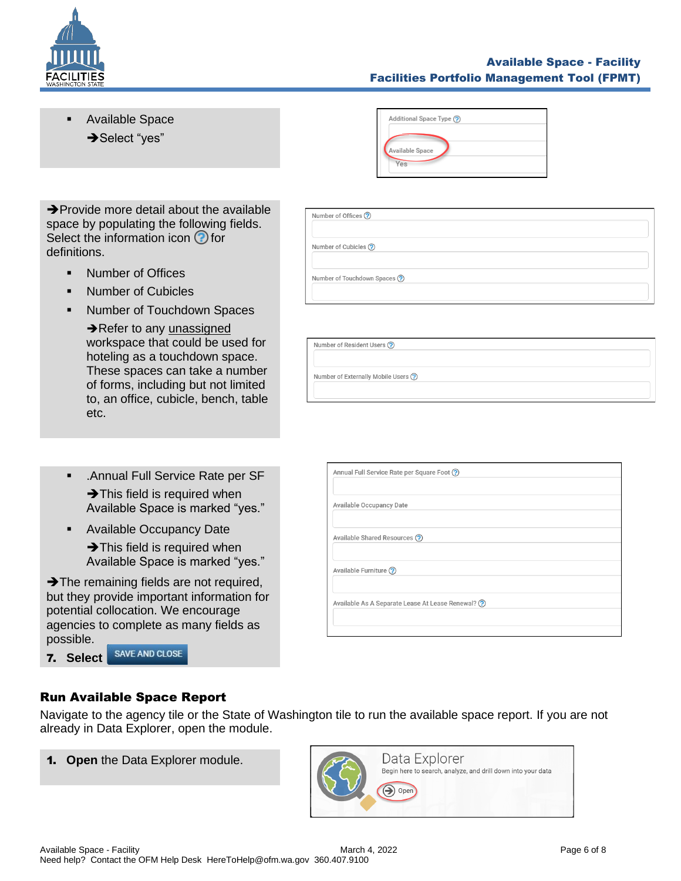

### Available Space - Facility Facilities Portfolio Management Tool (FPMT)

Available Space → Select "yes"



| $\rightarrow$ Provide more detail about the available |
|-------------------------------------------------------|
| space by populating the following fields.             |
| Select the information icon $\bigcirc$ for            |
| definitions.                                          |

- **■** Number of Offices
- Number of Cubicles
- Number of Touchdown Spaces

**→ Refer to any unassigned** workspace that could be used for hoteling as a touchdown space. These spaces can take a number of forms, including but not limited to, an office, cubicle, bench, table etc.

| <b>Number of Cubicles ?</b>  |  |
|------------------------------|--|
|                              |  |
| Number of Touchdown Spaces ? |  |
|                              |  |
|                              |  |

Number of Offices ?

Number of Externally Mobile Users ?

- .Annual Full Service Rate per SF **→ This field is required when** Available Space is marked "yes."
- Available Occupancy Date

**→ This field is required when** Available Space is marked "yes."

**→ The remaining fields are not required,** but they provide important information for potential collocation. We encourage agencies to complete as many fields as possible. **SAVE AND CLOSE** 

| Annual Full Service Rate per Square Foot ?          |  |
|-----------------------------------------------------|--|
| Available Occupancy Date                            |  |
| Available Shared Resources (?)                      |  |
| Available Furniture ?                               |  |
| Available As A Separate Lease At Lease Renewal? (?) |  |
|                                                     |  |

# <span id="page-5-0"></span>Run Available Space Report

7. **Select** 

Navigate to the agency tile or the State of Washington tile to run the available space report. If you are not already in Data Explorer, open the module.

1. **Open** the Data Explorer module.

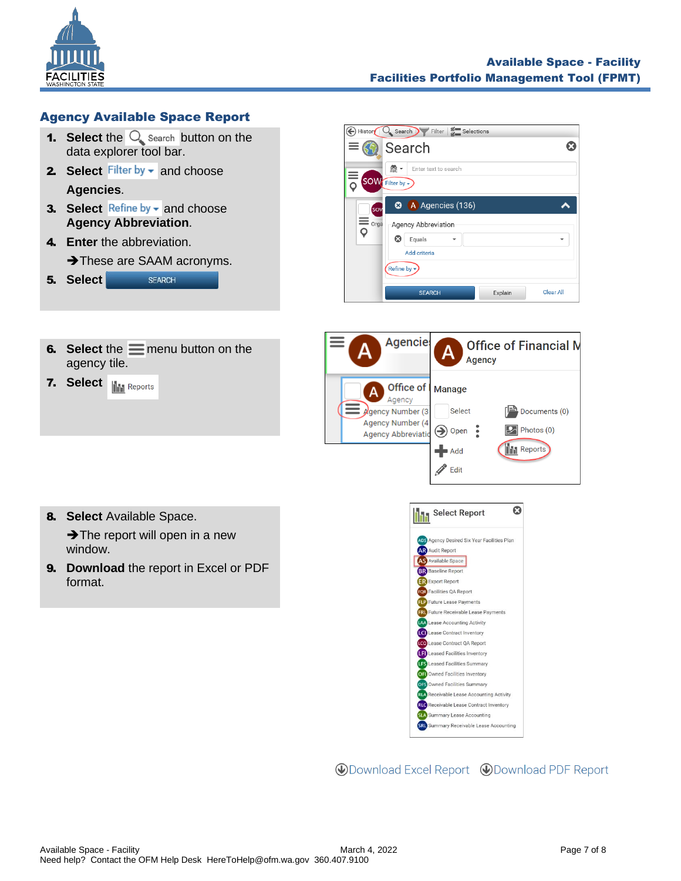

# <span id="page-6-0"></span>Agency Available Space Report

- **1.** Select the  $\mathbb{Q}$  search button on the data explorer tool bar.
- 2. Select Filter by **v** and choose **Agencies**.
- **3.** Select Refine by  $\bullet$  and choose **Agency Abbreviation**.
- 4. **Enter** the abbreviation. **→ These are SAAM acronyms.** 5. **Select SEARCH**



**6.** Select the  $\equiv$  menu button on the agency tile.

**7. Select III** Reports



- 8. **Select** Available Space.  $\rightarrow$  The report will open in a new window.
- 9. **Download** the report in Excel or PDF format.



**WDownload Excel Report WDownload PDF Report**